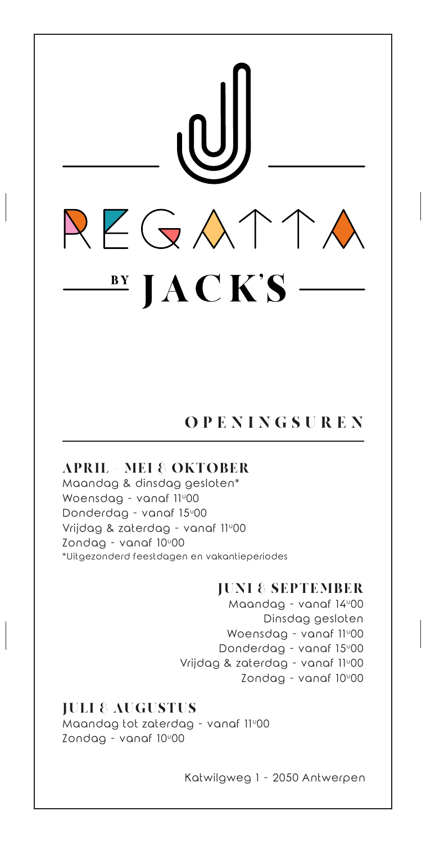

# OPENINGSUREN

### APRIL - MEI & OKTOBER

Maandag & dinsdag gesloten\* Woensdag - vanaf 11°00 Donderdag - vanaf 15<sup>0</sup>00 Vrijdag & zaterdag - vanaf 11°00  $Z$ ondag - vanaf  $10^{\circ}00$ \*Uitgezonderd feestdagen en vakantieperiodes

### JUNI & SEPTEMBER

Maandag - vanaf 14º00 Dinsdag gesloten Woensdag - vanaf 11°00 Donderdag - vanaf 15<sup>0</sup>00 Vrijdag & zaterdag - vanaf 11°00  $Z$ ondag - vanaf  $10^{\circ}00$ 

### JULI & AUGUSTUS

Maandag tot zaterdag - vanaf 11°00 Zondag - vanaf 10<sup>0</sup>00

Katwilgweg 1 - 2050 Antwerpen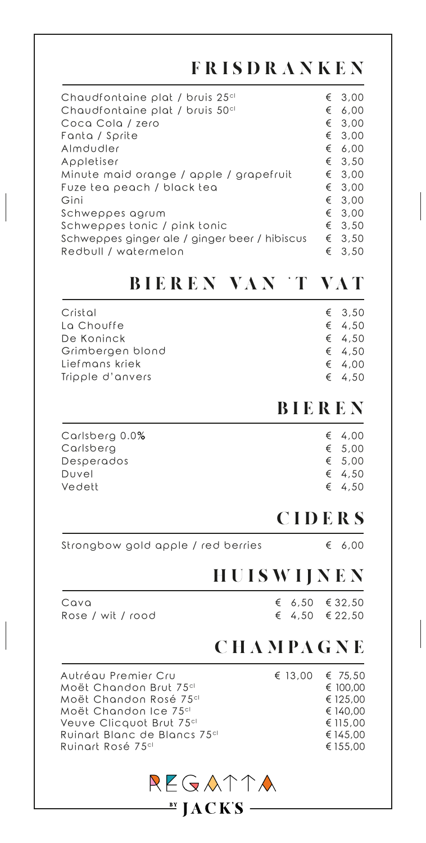# FRISDRANKEN

| Chaudfontaine plat / bruis 25 <sup>cl</sup>   | € | 3,00   |
|-----------------------------------------------|---|--------|
| Chaudfontaine plat / bruis 50 <sup>cl</sup>   | € | 6,00   |
| Coca Cola / zero                              | € | 3,00   |
| Fanta / Sprite                                | € | 3,00   |
| Almdudler                                     | € | 6,00   |
| Appletiser                                    |   | € 3,50 |
| Minute maid orange / apple / grapefruit       | € | 3,00   |
| Fuze tea peach / black tea                    | € | 3,00   |
| Gini                                          | € | 3.00   |
| Schweppes agrum                               |   | € 3.00 |
| Schweppes tonic / pink tonic                  | € | 3,50   |
| Schweppes ginger ale / ginger beer / hibiscus |   | € 3,50 |
| Redbull / watermelon                          | € | 3.50   |
|                                               |   |        |

# BIEREN VAN 'T VAT

| Cristal          | € 3,50          |
|------------------|-----------------|
| La Chouffe       | € 4,50          |
| De Koninck       | € 4,50          |
| Grimbergen blond | $\epsilon$ 4.50 |
| Liefmans kriek   | € 4.00          |
| Tripple d'anvers | € 4,50          |

### BIEREN

| Carlsberg 0.0%<br>Carlsberg<br>Desperados<br>Duvel<br>Vedett | € 4.00<br>€ $5,00$<br>€ $5,00$<br>€ 4.50<br>€ 4.50 |
|--------------------------------------------------------------|----------------------------------------------------|
|                                                              |                                                    |
|                                                              |                                                    |

## CIDERS

Strongbow gold apple / red berries € 6,00

### HUISWIJNEN

Cava Rose / wit / rood

€ 32,50 € 22,50 € 4,50 € 6,50

# C H A M PA G N E

| € 13,00 $\in$ 75,50 |          |
|---------------------|----------|
|                     | € 100,00 |
|                     | € 125,00 |
|                     | € 140,00 |
|                     | € 115,00 |
|                     | € 145,00 |
|                     | € 155,00 |
|                     |          |

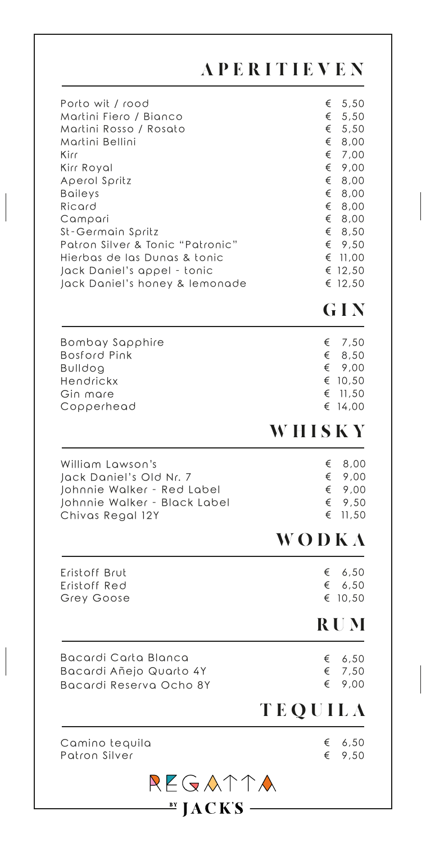|                                                                                                                                                                                                                                                                                                                                 | <b>APERITIEVEN</b>                                                                                                                                                                           |
|---------------------------------------------------------------------------------------------------------------------------------------------------------------------------------------------------------------------------------------------------------------------------------------------------------------------------------|----------------------------------------------------------------------------------------------------------------------------------------------------------------------------------------------|
| Porto wit / rood<br>Martini Fiero / Bianco<br>Martini Rosso / Rosato<br>Martini Bellini<br>Kirr<br>Kirr Royal<br>Aperol Spritz<br><b>Baileys</b><br>Ricard<br>Campari<br>St-Germain Spritz<br>Patron Silver & Tonic "Patronic"<br>Hierbas de las Dunas & tonic<br>Jack Daniel's appel - tonic<br>Jack Daniel's honey & lemonade | 5,50<br>€<br>€<br>5,50<br>€<br>5,50<br>€<br>8,00<br>€<br>7,00<br>€<br>9,00<br>€<br>8,00<br>€<br>8,00<br>€<br>8,00<br>€<br>8,00<br>€<br>8,50<br>€<br>9,50<br>€ 11,00<br>€<br>12,50<br>€ 12,50 |
|                                                                                                                                                                                                                                                                                                                                 | GIN                                                                                                                                                                                          |
| Bombay Sapphire<br><b>Bosford Pink</b><br><b>Bulldog</b><br>Hendrickx<br>Gin mare<br>Copperhead                                                                                                                                                                                                                                 | 7,50<br>€<br>€<br>8,50<br>€<br>9,00<br>€<br>10,50<br>€<br>11,50<br>€<br>14,00                                                                                                                |
|                                                                                                                                                                                                                                                                                                                                 | WHISKY                                                                                                                                                                                       |
| William Lawson's<br>Jack Daniel's Old Nr. 7<br>Johnnie Walker - Red Label<br>Johnnie Walker - Black Label<br>Chivas Regal 12Y                                                                                                                                                                                                   | 8,00<br>€<br>€<br>9,00<br>€<br>9,00<br>€<br>9,50<br>€<br>11,50                                                                                                                               |
|                                                                                                                                                                                                                                                                                                                                 | WODKA                                                                                                                                                                                        |
| Eristoff Brut<br>Eristoff Red<br>Grey Goose                                                                                                                                                                                                                                                                                     | 6,50<br>€<br>€<br>6,50<br>€ 10,50                                                                                                                                                            |
|                                                                                                                                                                                                                                                                                                                                 | <b>RUM</b>                                                                                                                                                                                   |
| Bacardi Carta Blanca<br>Bacardi Añejo Quarto 4Y<br>Bacardi Reserva Ocho 8Y                                                                                                                                                                                                                                                      | 6,50<br>€<br>€<br>7,50<br>€<br>9,00                                                                                                                                                          |
|                                                                                                                                                                                                                                                                                                                                 | TEQUILA                                                                                                                                                                                      |
|                                                                                                                                                                                                                                                                                                                                 | 6,50<br>€                                                                                                                                                                                    |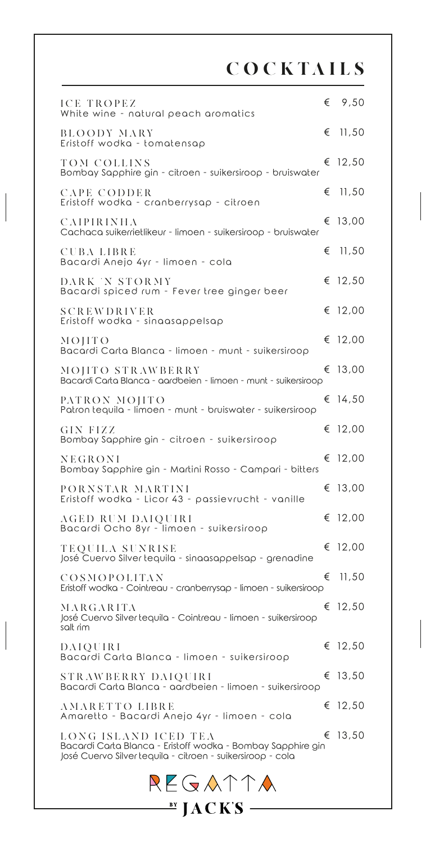COCKTAILS

| ICE TROPEZ<br>White wine - natural peach aromatics                                                                                                |   | € $9,50$ |
|---------------------------------------------------------------------------------------------------------------------------------------------------|---|----------|
| <b>BLOODY MARY</b><br>Eristoff wodka - tomatensap                                                                                                 | € | 11,50    |
| TOM COLLINS<br>Bombay Sapphire gin - citroen - suikersiroop - bruiswater                                                                          |   | € 12,50  |
| CAPE CODDER<br>Eristoff wodka - cranberrysap - citroen                                                                                            | € | 11,50    |
| CAIPIRINHA<br>Cachaca suikerrietlikeur - limoen - suikersiroop - bruiswater                                                                       |   | € 13,00  |
| <b>CUBALIBRE</b><br>Bacardi Anejo 4yr - limoen - cola                                                                                             | € | 11,50    |
| DARK 'N STORMY<br>Bacardi spiced rum - Fever tree ginger beer                                                                                     |   | € 12,50  |
| <b>SCREWDRIVER</b><br>Eristoff wodka - sinaasappelsap                                                                                             |   | € 12,00  |
| MOHTO<br>Bacardi Carta Blanca - limoen - munt - suikersiroop                                                                                      |   | € 12,00  |
| MOJITO STRAWBERRY<br>Bacardi Carta Blanca - aardbeien - limoen - munt - suikersiroop                                                              |   | € 13,00  |
| PATRON MOJITO<br>Patron tequila - limoen - munt - bruiswater - suikersiroop                                                                       |   | € 14,50  |
| <b>GIN FIZZ</b><br>Bombay Sapphire gin - citroen - suikersiroop                                                                                   |   | € 12,00  |
| NEGRONI<br>Bombay Sapphire gin - Martini Rosso - Campari - bitters                                                                                |   | € 12,00  |
| PORNSTAR MARTINI<br>Eristoff wodka - Licor 43 - passievrucht - vanille                                                                            |   | € 13,00  |
| AGED RUM DAIQUIRI<br>Bacardi Ocho 8yr - limoen - suikersiroop                                                                                     | € | 12,00    |
| TEQUILA SUNRISE<br>José Cuervo Silver tequila - sinaasappelsap - grenadine                                                                        |   | € 12,00  |
| COSMOPOLITAN<br>Eristoff wodka - Cointreau - cranberrysap - limoen - suikersiroop                                                                 | € | 11,50    |
| MARGARITA<br>José Cuervo Silver tequila - Cointreau - limoen - suikersiroop<br>salt rim                                                           |   | € 12,50  |
| DAIQUIRI<br>Bacardi Carta Blanca - limoen - suikersiroop                                                                                          |   | € 12,50  |
| STRAWBERRY DAIQUIRI<br>Bacardi Carta Blanca - aardbeien - limoen - suikersiroop                                                                   |   | € 13,50  |
| AMARETTO LIBRE<br>Amaretto - Bacardi Anejo 4yr - limoen - cola                                                                                    |   | € 12,50  |
| LONG ISLAND ICED TEA<br>Bacardi Carta Blanca - Eristoff wodka - Bombay Sapphire gin<br>José Cuervo Silver tequila - citroen - suikersiroop - cola |   | € 13,50  |
| REGATTA                                                                                                                                           |   |          |

 $\overset{\text{by}}{=}$  JACK'S —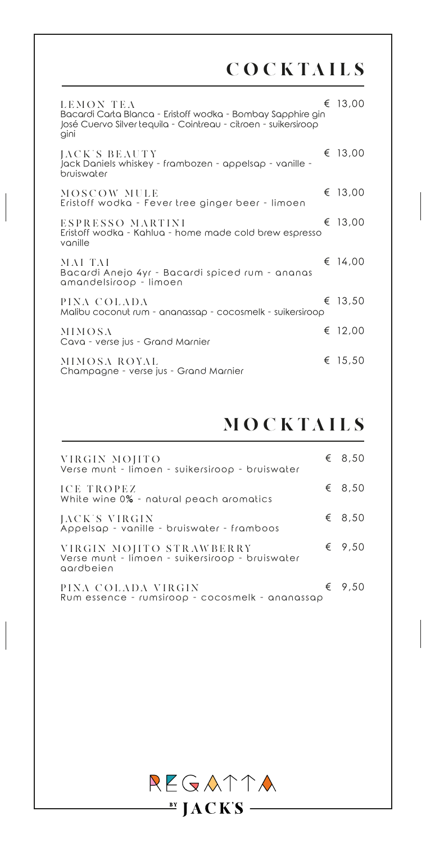# COCKTAILS

| LEMON TEA<br>Bacardi Carta Blanca - Eristoff wodka - Bombay Sapphire gin<br>José Cuervo Silver tequila - Cointreau - citroen - suikersiroop<br>gini | € 13,00 |
|-----------------------------------------------------------------------------------------------------------------------------------------------------|---------|
| JACK'S BEAUTY<br>Jack Daniels whiskey - frambozen - appelsap - vanille -<br>bruiswater                                                              | € 13,00 |
| MOSCOW MULE<br>Eristoff wodka - Fever tree ginger beer - limoen                                                                                     | € 13,00 |
| ESPRESSO MARTINI<br>Eristoff wodka - Kahlua - home made cold brew espresso<br>vanille                                                               | € 13,00 |
| MAI TAI<br>Bacardi Anejo 4yr - Bacardi spiced rum - ananas<br>amandelsiroop – limoen                                                                | € 14,00 |
| PINA COLADA<br>Malibu coconut rum - ananassap - cocosmelk - suikersiroop                                                                            | € 13.50 |
| <b>MIMOSA</b><br>Cava - verse jus - Grand Marnier                                                                                                   | € 12,00 |
| MIMOSA ROYAL<br>Champagne - verse jus - Grand Marnier                                                                                               | € 15,50 |

# **MOCKTAILS**

| VIRGIN MOJITO<br>Verse munt - limoen - suikersiroop - bruiswater                         | € 8,50          |
|------------------------------------------------------------------------------------------|-----------------|
| ICE TROPEZ<br>White wine 0% - natural peach aromatics                                    | € 8,50          |
| JACK'S VIRGIN<br>Appelsap - vanille - bruiswater - framboos                              | € 8,50          |
| VIRGIN MOJITO STRAWBERRY<br>Verse munt - limoen - suikersiroop - bruiswater<br>aardbeien | € 9,50          |
| PINA COLADA VIRGIN<br>Rum essence - rumsiroop - cocosmelk - ananassap                    | $\epsilon$ 9.50 |